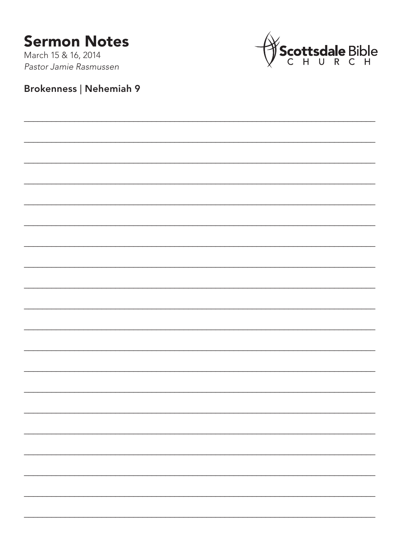## **Sermon Notes**

March 15 & 16, 2014 Pastor Jamie Rasmussen



## Brokenness | Nehemiah 9